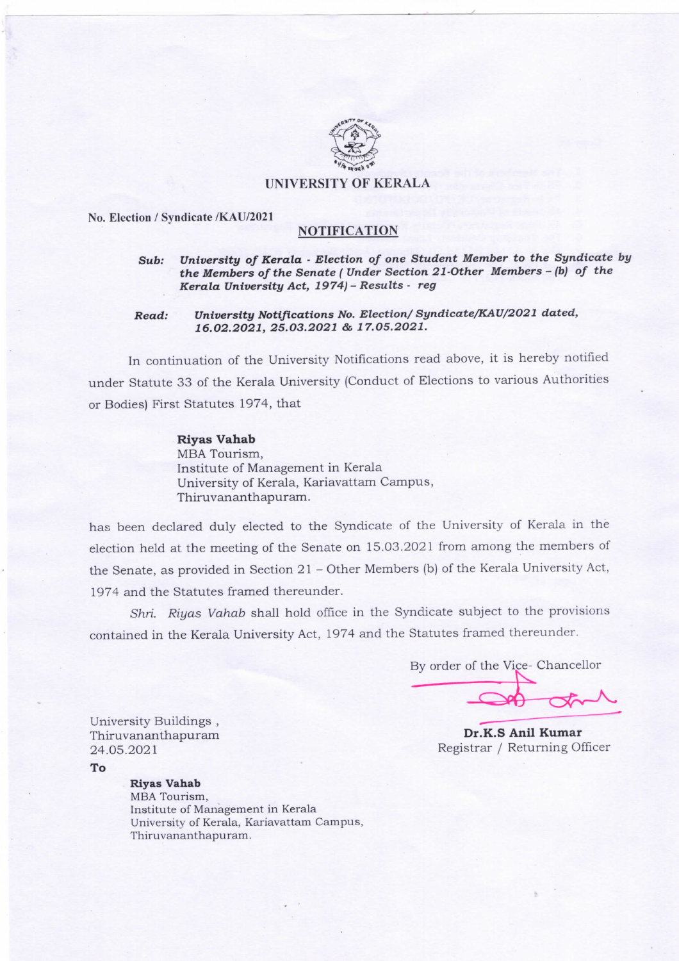

#### UNIVERSITY OF KERALA

#### No. Election / Syndicate /KAU/2021

## NOTIFICATION

# Sub: University of Kerala - Election of one Student Member to the Syndicate by the Members of the Senate ( Under Section 21-Other Members - (b) of the Kerala University Act, 1974) - Results - reg

### Read: University Notifications No. Election/ Syndicate/KAU/2021 dated, 16.02.2021, 25.03.2021 & 17.05.2021.

In continuation of the University Notifications read above, it is hereby notified under Statute 33 of the Kerala University (Conduct of Elections to various Authorities or Bodies) First Statutes 1974, that

> Riyas Vahab MBA Tourism, Institute of Management in Kerala University of Kerala, Kariavattam Campus, Thiruvananthapuram.

has been declared duly elected to the Syndicate of the University of Kerala in the election held at the meeting of the Senate on 15.03.2021 from among the members of the Senate, as provided in Section 21 - Other Members (b) of the Kerala University Act, 1974 and the Statutes framed thereunder.

Shri. Riyas Vahab shall hold office in the Syndicate subject to the provisions contained in the Kerala University Act, 1974 and the Statutes framed thereunder.

By order of the Vice- Chancellor

Dr.K.S Anil Kumar Registrar / Returning Officer

University Buildings , Thiruvananthapuram 24.05.2021

To

# Riyas Vahab

MBA Tourism, Institute of Management in Kerala University of Kerala, Kariavattam Campus, Thiruvananthapuram.